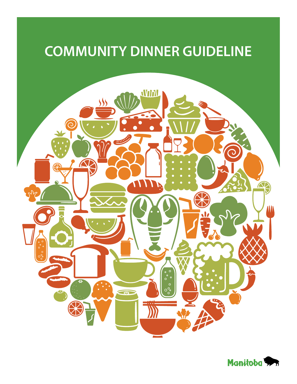# **COMMUNITY DINNER GUIDELINE**



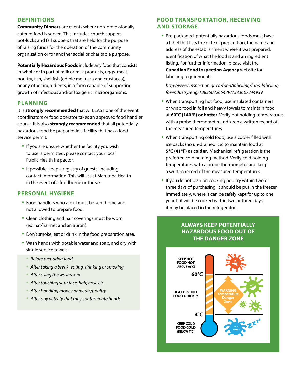#### **DEFINITIONS**

**Community Dinners** are events where non-professionally catered food is served. This includes church suppers, pot-lucks and fall suppers that are held for the purpose of raising funds for the operation of the community organization or for another social or charitable purpose.

**Potentially Hazardous Foods** include any food that consists in whole or in part of milk or milk products, eggs, meat, poultry, fish, shellfish (edible mollusca and crustacea), or any other ingredients, in a form capable of supporting growth of infectious and/or toxigenic microorganisms.

#### **PLANNING**

It is **strongly recommended** that AT LEAST one of the event coordinators or food operator takes an approved food handler course. It is also **strongly recommended** that all potentially hazardous food be prepared in a facility that has a food service permit.

- If you are unsure whether the facility you wish to use is permitted, please contact your local Public Health Inspector.
- If possible, keep a registry of guests, including contact information. This will assist Manitoba Health in the event of a foodborne outbreak.

#### **PERSONAL HYGIENE**

- Food handlers who are ill must be sent home and not allowed to prepare food.
- Clean clothing and hair coverings must be worn (ex: hat/hairnet and an apron).
- Don't smoke, eat or drink in the food preparation area.
- Wash hands with potable water and soap, and dry with single service towels:
	- *Before preparing food*
	- *After taking a break, eating, drinking or smoking*
	- *After using the washroom*
	- *After touching your face, hair, nose etc.*
	- *After handling money or meats/poultry*
	- *After any activity that may contaminate hands*

## **FOOD TRANSPORTATION, RECEIVING AND STORAGE**

• Pre-packaged, potentially hazardous foods must have a label that lists the date of preparation, the name and address of the establishment where it was prepared, identification of what the food is and an ingredient listing. For further information, please visit the **Canadian Food Inspection Agency** website for labelling requirements

 *http://www.inspection.gc.ca/food/labelling/food-labelling for-industry/eng/1383607266489/1383607344939* 

- When transporting hot food, use insulated containers or wrap food in foil and heavy towels to maintain food at **60°C (140°F) or hotter**. Verify hot holding temperatures with a probe thermometer and keep a written record of the measured temperatures.
- When transporting cold food, use a cooler filled with ice packs (no un-drained ice) to maintain food at **5°C (41°F) or colder**. Mechanical refrigeration is the preferred cold holding method. Verify cold holding temperatures with a probe thermometer and keep a written record of the measured temperatures.
- If you do not plan on cooking poultry within two or three days of purchasing, it should be put in the freezer immediately, where it can be safely kept for up to one year. If it will be cooked within two or three days, it may be placed in the refrigerator.

## **ALWAYS KEEP POTENTIALLY HAZARDOUS FOOD OUT OF THE DANGER ZONE**

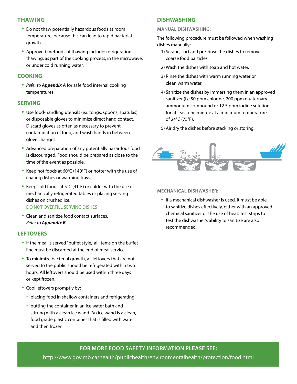#### **THAWING**

- Do not thaw potentially hazardous foods at room temperature, because this can lead to rapid bacterial growth.
- Approved methods of thawing include: refrigeration thawing, as part of the cooking process, in the microwave, or under cold running water.

#### **COOKING**

• *Refer to Appendix A* for safe food internal cooking temperatures

#### **SERVING**

- Use food-handling utensils (ex: tongs, spoons, spatulas) or disposable gloves to minimize direct hand contact. Discard gloves as often as necessary to prevent contamination of food, and wash hands in between glove changes.
- Advanced preparation of any potentially hazardous food is discouraged. Food should be prepared as close to the time of the event as possible.
- Keep hot foods at 60°C (140°F) or hotter with the use of chafing dishes or warming trays.
- Keep cold foods at 5°C (41°F) or colder with the use of mechanically refrigerated tables or placing serving dishes on crushed ice. DO NOT OVERFILL SERVING DISHES
- Clean and sanitize food contact surfaces. *Refer to Appendix B*

## **LEFTOVERS**

- If the meal is served "buffet style," all items on the buffet line must be discarded at the end of meal service.
- To minimize bacterial growth, all leftovers that are not served to the public should be refrigerated within two hours. All leftovers should be used within three days or kept frozen.
- Cool leftovers promptly by:
	- placing food in shallow containers and refrigerating
	- putting the container in an ice water bath and stirring with a clean ice wand. An ice wand is a clean, food grade plastic container that is filled with water and then frozen.

## **DISHWASHING**

#### **Manual dishwashing:**

The following procedure must be followed when washing dishes manually:

- 1) Scrape, sort and pre-rinse the dishes to remove coarse food particles.
- 2) Wash the dishes with soap and hot water.
- 3) Rinse the dishes with warm running water or clean warm water.
- 4) Sanitize the dishes by immersing them in an approved sanitizer (i.e 50 ppm chlorine, 200 ppm quaternary ammonium compound or 12.5 ppm iodine solution for at least one minute at a minimum temperature of 24°C (75°F).
- 5) Air dry the dishes before stacking or storing.



#### **Mechanical Dishwasher:**

• If a mechanical dishwasher is used, it must be able to sanitize dishes effectively, either with an approved chemical sanitizer or the use of heat. Test strips to test the dishwasher's ability to sanitize are also recommended.

## **For more food safety information please see:**

http://www.gov.mb.ca/health/publichealth/environmentalhealth/protection/food.html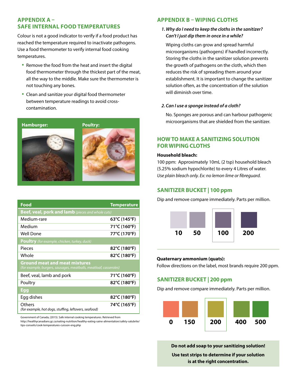## **Appendix A – Safe Internal Food Temperatures**

Colour is not a good indicator to verify if a food product has reached the temperature required to inactivate pathogens. Use a food thermometer to verify internal food cooking temperatures.

- Remove the food from the heat and insert the digital food thermometer through the thickest part of the meat, all the way to the middle. Make sure the thermometer is not touching any bones.
- Clean and sanitize your digital food thermometer between temperature readings to avoid crosscontamination.



| Food                                                                                                      | <b>Temperature</b>                |  |  |  |  |
|-----------------------------------------------------------------------------------------------------------|-----------------------------------|--|--|--|--|
| Beef, veal, pork and lamb (pieces and whole cuts)                                                         |                                   |  |  |  |  |
| Medium-rare                                                                                               | 63°C (145°F)                      |  |  |  |  |
| Medium                                                                                                    | 71°C (160°F)                      |  |  |  |  |
| Well Done                                                                                                 | 77°C (170°F)                      |  |  |  |  |
| <b>Poultry</b> (for example, chicken, turkey, duck)                                                       |                                   |  |  |  |  |
| Pieces                                                                                                    | 82°C (180°F)                      |  |  |  |  |
| Whole                                                                                                     | $82^{\circ}$ C (180 $^{\circ}$ F) |  |  |  |  |
| <b>Ground meat and meat mixtures</b><br>(for example, burgers, sausages, meatballs, meatloaf, casseroles) |                                   |  |  |  |  |
| Beef, yeal, lamb and pork                                                                                 | 71°C (160°F)                      |  |  |  |  |
| Poultry                                                                                                   | 82°C (180°F)                      |  |  |  |  |
| <b>Egg</b>                                                                                                |                                   |  |  |  |  |
| Egg dishes                                                                                                | $82^{\circ}$ C (180 $^{\circ}$ F) |  |  |  |  |
| Others<br>(for example, hot dogs, stuffing, leftovers, seafood)                                           | 74°C (165°F)                      |  |  |  |  |

Government of Canada, (2015). Safe internal cooking temperatures. Retrieved from http://healthycanadians.gc.ca/eating-nutrition/healthy-eating-saine-alimentation/safety-salubrite/ tips-conseils/cook-temperatures-cuisson-eng.php

## **Appendix B – Wiping Cloths**

#### *1. Why do I need to keep the cloths in the sanitizer? Can't I just dip them in once in a while?*

Wiping cloths can grow and spread harmful microorganisms (pathogens) if handled incorrectly. Storing the cloths in the sanitizer solution prevents the growth of pathogens on the cloth, which then reduces the risk of spreading them around your establishment. It is important to change the sanitizer solution often, as the concentration of the solution will diminish over time.

#### *2. Can I use a sponge instead of a cloth?*

No. Sponges are porous and can harbour pathogenic microorganisms that are shielded from the sanitizer.

## **HowTo Make a Sanitizing Solution For Wiping Cloths**

#### **Household bleach:**

100 ppm: Approximately 10mL (2 tsp) household bleach (5.25% sodium hypochlorite) to every 4 Litres of water. *Use plain bleach only. Ex: no lemon lime or fibreguard.*

## **Sanitizer Bucket | 100 ppm**

Dip and remove compare immediately. Parts per million.



#### **Quaternary ammonium (quats):**

Follow directions on the label, most brands require 200 ppm.

#### **Sanitizer Bucket | 200 ppm**

Dip and remove compare immediately. Parts per million.



**Do not add soap to your sanitizing solution! Use test strips to determine if your solution is at the right concentration.**